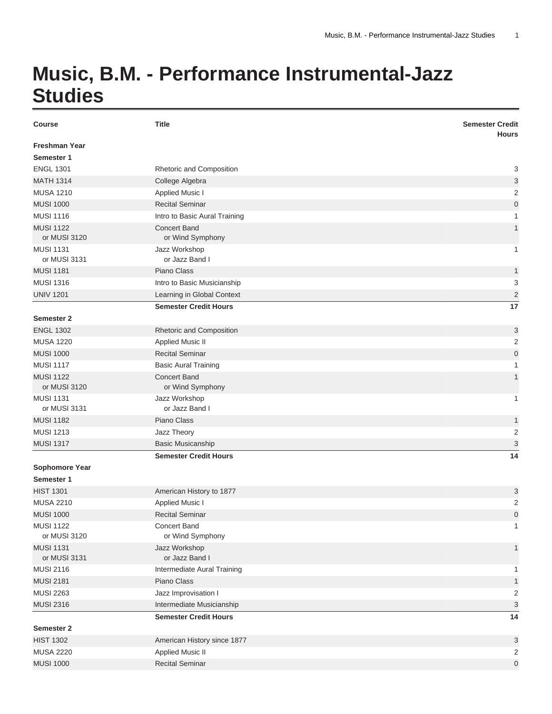## **Music, B.M. - Performance Instrumental-Jazz Studies**

| <b>Course</b>                      | <b>Title</b>                            | <b>Semester Credit</b><br><b>Hours</b> |
|------------------------------------|-----------------------------------------|----------------------------------------|
| <b>Freshman Year</b><br>Semester 1 |                                         |                                        |
| <b>ENGL 1301</b>                   | Rhetoric and Composition                | 3                                      |
| <b>MATH 1314</b>                   | College Algebra                         | 3                                      |
| <b>MUSA 1210</b>                   | <b>Applied Music I</b>                  | $\overline{2}$                         |
| <b>MUSI 1000</b>                   | <b>Recital Seminar</b>                  | $\mathbf 0$                            |
| <b>MUSI 1116</b>                   | Intro to Basic Aural Training           | 1                                      |
| <b>MUSI 1122</b><br>or MUSI 3120   | <b>Concert Band</b><br>or Wind Symphony | $\mathbf{1}$                           |
| <b>MUSI 1131</b>                   | Jazz Workshop                           | 1                                      |
| or MUSI 3131                       | or Jazz Band I                          |                                        |
| <b>MUSI 1181</b>                   | Piano Class                             | 1                                      |
| <b>MUSI 1316</b>                   | Intro to Basic Musicianship             | 3                                      |
| <b>UNIV 1201</b>                   | Learning in Global Context              | $\overline{2}$                         |
|                                    | <b>Semester Credit Hours</b>            | 17                                     |
| <b>Semester 2</b>                  |                                         |                                        |
| <b>ENGL 1302</b>                   | Rhetoric and Composition                | 3                                      |
| <b>MUSA 1220</b>                   | <b>Applied Music II</b>                 | $\overline{c}$                         |
| <b>MUSI 1000</b>                   | <b>Recital Seminar</b>                  | $\mathbf 0$                            |
| <b>MUSI 1117</b>                   | <b>Basic Aural Training</b>             | 1                                      |
| <b>MUSI 1122</b><br>or MUSI 3120   | <b>Concert Band</b><br>or Wind Symphony | $\mathbf{1}$                           |
| <b>MUSI 1131</b><br>or MUSI 3131   | Jazz Workshop<br>or Jazz Band I         | $\mathbf{1}$                           |
| <b>MUSI 1182</b>                   | Piano Class                             | $\mathbf{1}$                           |
| <b>MUSI 1213</b>                   | Jazz Theory                             | $\overline{2}$                         |
| <b>MUSI 1317</b>                   | <b>Basic Musicanship</b>                | $\ensuremath{\mathsf{3}}$              |
|                                    | <b>Semester Credit Hours</b>            | 14                                     |
| Sophomore Year                     |                                         |                                        |
| Semester 1                         |                                         |                                        |
| <b>HIST 1301</b>                   | American History to 1877                | 3                                      |
| <b>MUSA 2210</b>                   | <b>Applied Music I</b>                  | $\overline{2}$                         |
| <b>MUSI 1000</b>                   | <b>Recital Seminar</b>                  | $\overline{0}$                         |
| <b>MUSI 1122</b>                   | Concert Band                            | $\mathbf{1}$                           |
| or MUSI 3120                       | or Wind Symphony                        |                                        |
| <b>MUSI 1131</b>                   | Jazz Workshop                           | $\mathbf{1}$                           |
| or MUSI 3131                       | or Jazz Band I                          |                                        |
| <b>MUSI 2116</b>                   | Intermediate Aural Training             | 1                                      |
| <b>MUSI 2181</b>                   | Piano Class                             | $\mathbf{1}$                           |
| <b>MUSI 2263</b>                   | Jazz Improvisation I                    | $\overline{\mathbf{c}}$                |
| <b>MUSI 2316</b>                   | Intermediate Musicianship               | 3                                      |
|                                    | <b>Semester Credit Hours</b>            | 14                                     |
| Semester 2                         |                                         |                                        |
| <b>HIST 1302</b>                   | American History since 1877             | 3                                      |
| <b>MUSA 2220</b>                   | <b>Applied Music II</b>                 | 2                                      |
| <b>MUSI 1000</b>                   | <b>Recital Seminar</b>                  | $\mathbf 0$                            |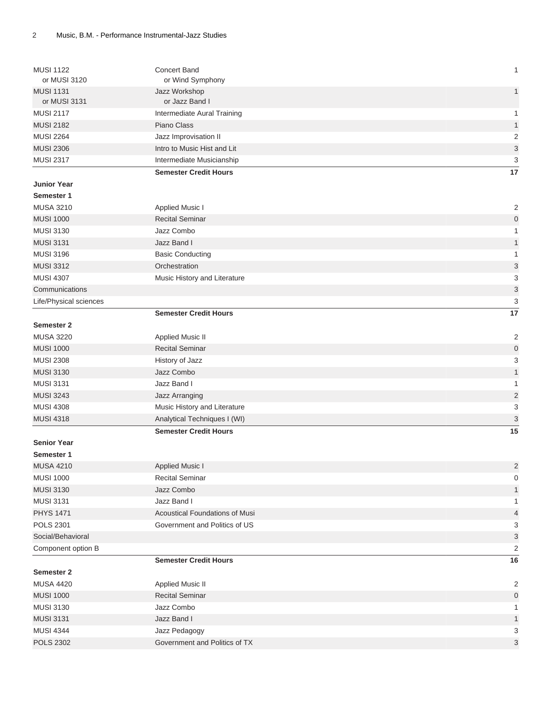| <b>MUSI 1122</b><br>or MUSI 3120     | <b>Concert Band</b><br>or Wind Symphony              | $\mathbf{1}$                                           |
|--------------------------------------|------------------------------------------------------|--------------------------------------------------------|
| <b>MUSI 1131</b>                     | Jazz Workshop<br>or Jazz Band I                      | $\mathbf{1}$                                           |
| or MUSI 3131                         |                                                      |                                                        |
| <b>MUSI 2117</b><br><b>MUSI 2182</b> | Intermediate Aural Training<br>Piano Class           | $\mathbf{1}$                                           |
| <b>MUSI 2264</b>                     |                                                      | $\mathbf{1}$                                           |
| <b>MUSI 2306</b>                     | Jazz Improvisation II<br>Intro to Music Hist and Lit | 2                                                      |
| <b>MUSI 2317</b>                     | Intermediate Musicianship                            | $\ensuremath{\mathsf{3}}$<br>$\ensuremath{\mathsf{3}}$ |
|                                      |                                                      | 17                                                     |
|                                      | <b>Semester Credit Hours</b>                         |                                                        |
| <b>Junior Year</b>                   |                                                      |                                                        |
| Semester 1<br><b>MUSA 3210</b>       |                                                      |                                                        |
|                                      | <b>Applied Music I</b><br><b>Recital Seminar</b>     | 2                                                      |
| <b>MUSI 1000</b><br><b>MUSI 3130</b> | Jazz Combo                                           | $\pmb{0}$                                              |
| <b>MUSI 3131</b>                     | Jazz Band I                                          | $\mathbf{1}$                                           |
| <b>MUSI 3196</b>                     |                                                      | $\mathbf{1}$<br>$\mathbf{1}$                           |
| <b>MUSI 3312</b>                     | <b>Basic Conducting</b>                              |                                                        |
| <b>MUSI 4307</b>                     | Orchestration                                        | $\sqrt{3}$                                             |
|                                      | Music History and Literature                         | 3                                                      |
| Communications                       |                                                      | $\ensuremath{\mathsf{3}}$                              |
| Life/Physical sciences               |                                                      | 3                                                      |
|                                      | <b>Semester Credit Hours</b>                         | 17                                                     |
| <b>Semester 2</b>                    |                                                      |                                                        |
| <b>MUSA 3220</b>                     | <b>Applied Music II</b>                              | 2                                                      |
| <b>MUSI 1000</b>                     | <b>Recital Seminar</b>                               | $\pmb{0}$                                              |
| <b>MUSI 2308</b>                     | History of Jazz                                      | $\ensuremath{\mathsf{3}}$                              |
| <b>MUSI 3130</b>                     | Jazz Combo                                           | $\mathbf{1}$                                           |
| <b>MUSI 3131</b>                     | Jazz Band I                                          | $\mathbf{1}$                                           |
| <b>MUSI 3243</b>                     | Jazz Arranging                                       | $\overline{2}$                                         |
| <b>MUSI 4308</b>                     | Music History and Literature                         | 3                                                      |
| <b>MUSI 4318</b>                     | Analytical Techniques I (WI)                         | $\ensuremath{\mathsf{3}}$                              |
|                                      | <b>Semester Credit Hours</b>                         | 15                                                     |
| <b>Senior Year</b>                   |                                                      |                                                        |
| Semester 1                           |                                                      |                                                        |
| <b>MUSA 4210</b>                     | Applied Music I                                      | $\overline{c}$                                         |
| <b>MUSI 1000</b>                     | Recital Seminar                                      | 0                                                      |
| <b>MUSI 3130</b>                     | Jazz Combo                                           | $\mathbf{1}$                                           |
| <b>MUSI 3131</b>                     | Jazz Band I                                          | $\mathbf{1}$                                           |
| <b>PHYS 1471</b>                     | Acoustical Foundations of Musi                       | $\overline{a}$                                         |
| <b>POLS 2301</b>                     | Government and Politics of US                        | 3                                                      |
| Social/Behavioral                    |                                                      | $\ensuremath{\mathsf{3}}$                              |
| Component option B                   |                                                      | 2                                                      |
|                                      | <b>Semester Credit Hours</b>                         | 16                                                     |
| Semester 2                           |                                                      |                                                        |
| <b>MUSA 4420</b>                     | Applied Music II                                     | 2                                                      |
| <b>MUSI 1000</b>                     | <b>Recital Seminar</b>                               | $\mathbf 0$                                            |
| <b>MUSI 3130</b>                     | Jazz Combo                                           | 1                                                      |
| <b>MUSI 3131</b>                     | Jazz Band I                                          | $\mathbf{1}$                                           |
| <b>MUSI 4344</b>                     | Jazz Pedagogy                                        | 3                                                      |
| <b>POLS 2302</b>                     | Government and Politics of TX                        | $\sqrt{3}$                                             |